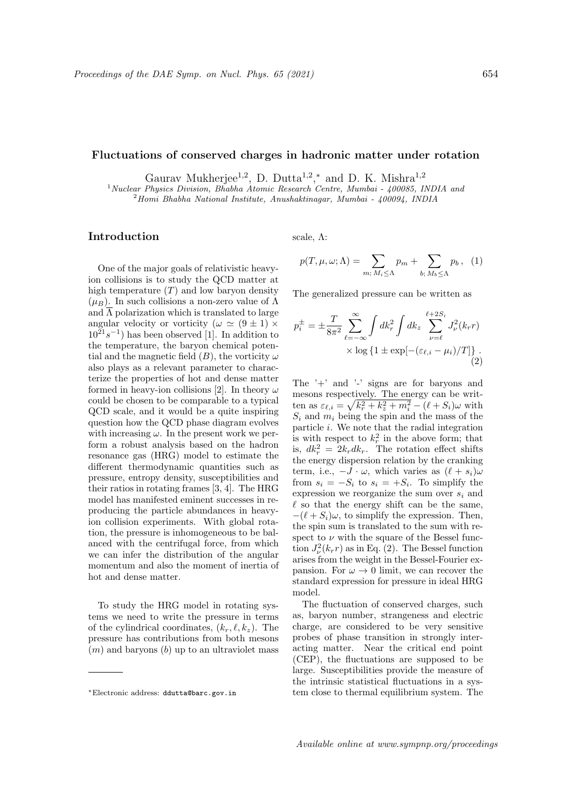## Fluctuations of conserved charges in hadronic matter under rotation

Gaurav Mukherjee<sup>1,2</sup>, D. Dutta<sup>1,2</sup>,<sup>\*</sup> and D. K. Mishra<sup>1,2</sup>

<sup>1</sup> Nuclear Physics Division, Bhabha Atomic Research Centre, Mumbai - 400085, INDIA and  $^{2}$ Homi Bhabha National Institute, Anushaktinagar, Mumbai - 400094, INDIA

## Introduction

One of the major goals of relativistic heavyion collisions is to study the QCD matter at high temperature  $(T)$  and low baryon density  $(\mu_B)$ . In such collisions a non-zero value of  $\Lambda$ and  $\overline{\Lambda}$  polarization which is translated to large angular velocity or vorticity ( $\omega \simeq (9 \pm 1) \times$  $10^{21} s^{-1}$ ) has been observed [1]. In addition to the temperature, the baryon chemical potential and the magnetic field  $(B)$ , the vorticity  $\omega$ also plays as a relevant parameter to characterize the properties of hot and dense matter formed in heavy-ion collisions [2]. In theory  $\omega$ could be chosen to be comparable to a typical QCD scale, and it would be a quite inspiring question how the QCD phase diagram evolves with increasing  $\omega$ . In the present work we perform a robust analysis based on the hadron resonance gas (HRG) model to estimate the different thermodynamic quantities such as pressure, entropy density, susceptibilities and their ratios in rotating frames [3, 4]. The HRG model has manifested eminent successes in reproducing the particle abundances in heavyion collision experiments. With global rotation, the pressure is inhomogeneous to be balanced with the centrifugal force, from which we can infer the distribution of the angular momentum and also the moment of inertia of hot and dense matter.

To study the HRG model in rotating systems we need to write the pressure in terms of the cylindrical coordinates,  $(k_r, \ell, k_z)$ . The pressure has contributions from both mesons  $(m)$  and baryons  $(b)$  up to an ultraviolet mass scale,  $\Lambda$ :

$$
p(T, \mu, \omega; \Lambda) = \sum_{m; M_i \leq \Lambda} p_m + \sum_{b; M_b \leq \Lambda} p_b, \quad (1)
$$

The generalized pressure can be written as

$$
p_i^{\pm} = \pm \frac{T}{8\pi^2} \sum_{\ell=-\infty}^{\infty} \int dk_r^2 \int dk_z \sum_{\nu=\ell}^{\ell+2S_i} J_{\nu}^2(k_r r)
$$

$$
\times \log\left\{1 \pm \exp[-(\varepsilon_{\ell,i} - \mu_i)/T]\right\}.
$$
(2)

The '+' and '-' signs are for baryons and mesons respectively. The energy can be written as  $\varepsilon_{\ell,i} = \sqrt{k_r^2 + k_z^2 + m_i^2} - (\ell + S_i)\omega$  with  $S_i$  and  $m_i$  being the spin and the mass of the particle i. We note that the radial integration is with respect to  $k_r^2$  in the above form; that is,  $dk_r^2 = 2k_r dk_r$ . The rotation effect shifts the energy dispersion relation by the cranking term, i.e.,  $-J \cdot \omega$ , which varies as  $(\ell + s_i)\omega$ from  $s_i = -S_i$  to  $s_i = +S_i$ . To simplify the expression we reorganize the sum over  $s_i$  and  $\ell$  so that the energy shift can be the same,  $-(\ell + S_i)\omega$ , to simplify the expression. Then, the spin sum is translated to the sum with respect to  $\nu$  with the square of the Bessel function  $J_{\nu}^2(k_r r)$  as in Eq. (2). The Bessel function arises from the weight in the Bessel-Fourier expansion. For  $\omega \to 0$  limit, we can recover the standard expression for pressure in ideal HRG model.

The fluctuation of conserved charges, such as, baryon number, strangeness and electric charge, are considered to be very sensitive probes of phase transition in strongly interacting matter. Near the critical end point (CEP), the fluctuations are supposed to be large. Susceptibilities provide the measure of the intrinsic statistical fluctuations in a system close to thermal equilibrium system. The

<sup>∗</sup>Electronic address: ddutta@barc.gov.in